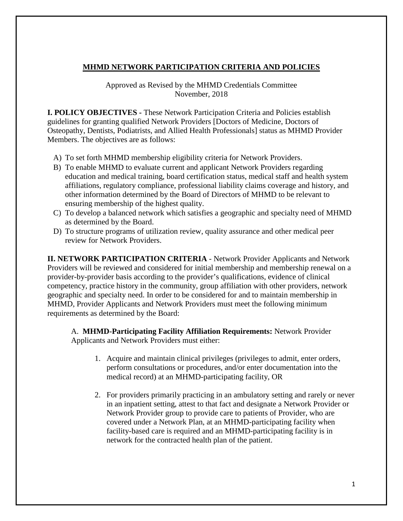# **MHMD NETWORK PARTICIPATION CRITERIA AND POLICIES**

Approved as Revised by the MHMD Credentials Committee November, 2018

**I. POLICY OBJECTIVES -** These Network Participation Criteria and Policies establish guidelines for granting qualified Network Providers [Doctors of Medicine, Doctors of Osteopathy, Dentists, Podiatrists, and Allied Health Professionals] status as MHMD Provider Members. The objectives are as follows:

- A) To set forth MHMD membership eligibility criteria for Network Providers.
- B) To enable MHMD to evaluate current and applicant Network Providers regarding education and medical training, board certification status, medical staff and health system affiliations, regulatory compliance, professional liability claims coverage and history, and other information determined by the Board of Directors of MHMD to be relevant to ensuring membership of the highest quality.
- C) To develop a balanced network which satisfies a geographic and specialty need of MHMD as determined by the Board.
- D) To structure programs of utilization review, quality assurance and other medical peer review for Network Providers.

**II. NETWORK PARTICIPATION CRITERIA** - Network Provider Applicants and Network Providers will be reviewed and considered for initial membership and membership renewal on a provider-by-provider basis according to the provider's qualifications, evidence of clinical competency, practice history in the community, group affiliation with other providers, network geographic and specialty need. In order to be considered for and to maintain membership in MHMD, Provider Applicants and Network Providers must meet the following minimum requirements as determined by the Board:

A. **MHMD-Participating Facility Affiliation Requirements:** Network Provider Applicants and Network Providers must either:

- 1. Acquire and maintain clinical privileges (privileges to admit, enter orders, perform consultations or procedures, and/or enter documentation into the medical record) at an MHMD-participating facility, OR
- 2. For providers primarily practicing in an ambulatory setting and rarely or never in an inpatient setting, attest to that fact and designate a Network Provider or Network Provider group to provide care to patients of Provider, who are covered under a Network Plan, at an MHMD-participating facility when facility-based care is required and an MHMD-participating facility is in network for the contracted health plan of the patient.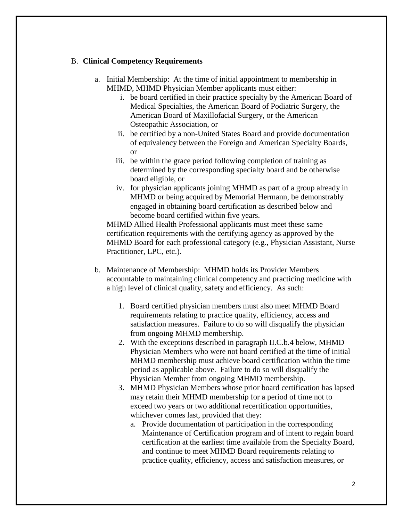## B. **Clinical Competency Requirements**

- a. Initial Membership: At the time of initial appointment to membership in MHMD, MHMD Physician Member applicants must either:
	- i. be board certified in their practice specialty by the American Board of Medical Specialties, the American Board of Podiatric Surgery, the American Board of Maxillofacial Surgery, or the American Osteopathic Association, or
	- ii. be certified by a non-United States Board and provide documentation of equivalency between the Foreign and American Specialty Boards, or
	- iii. be within the grace period following completion of training as determined by the corresponding specialty board and be otherwise board eligible, or
	- iv. for physician applicants joining MHMD as part of a group already in MHMD or being acquired by Memorial Hermann, be demonstrably engaged in obtaining board certification as described below and become board certified within five years.

MHMD Allied Health Professional applicants must meet these same certification requirements with the certifying agency as approved by the MHMD Board for each professional category (e.g., Physician Assistant, Nurse Practitioner, LPC, etc.).

- b. Maintenance of Membership: MHMD holds its Provider Members accountable to maintaining clinical competency and practicing medicine with a high level of clinical quality, safety and efficiency. As such:
	- 1. Board certified physician members must also meet MHMD Board requirements relating to practice quality, efficiency, access and satisfaction measures. Failure to do so will disqualify the physician from ongoing MHMD membership.
	- 2. With the exceptions described in paragraph II.C.b.4 below, MHMD Physician Members who were not board certified at the time of initial MHMD membership must achieve board certification within the time period as applicable above. Failure to do so will disqualify the Physician Member from ongoing MHMD membership.
	- 3. MHMD Physician Members whose prior board certification has lapsed may retain their MHMD membership for a period of time not to exceed two years or two additional recertification opportunities, whichever comes last, provided that they:
		- a. Provide documentation of participation in the corresponding Maintenance of Certification program and of intent to regain board certification at the earliest time available from the Specialty Board, and continue to meet MHMD Board requirements relating to practice quality, efficiency, access and satisfaction measures, or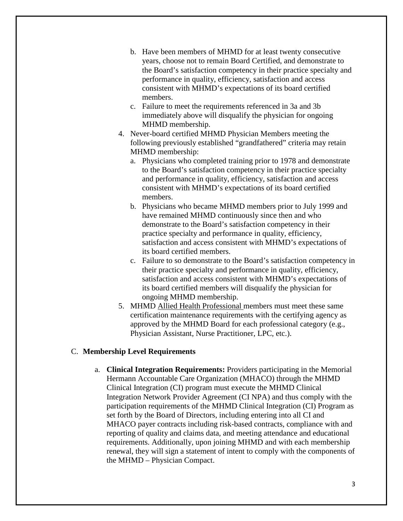- b. Have been members of MHMD for at least twenty consecutive years, choose not to remain Board Certified, and demonstrate to the Board's satisfaction competency in their practice specialty and performance in quality, efficiency, satisfaction and access consistent with MHMD's expectations of its board certified members.
- c. Failure to meet the requirements referenced in 3a and 3b immediately above will disqualify the physician for ongoing MHMD membership.
- 4. Never-board certified MHMD Physician Members meeting the following previously established "grandfathered" criteria may retain MHMD membership:
	- a. Physicians who completed training prior to 1978 and demonstrate to the Board's satisfaction competency in their practice specialty and performance in quality, efficiency, satisfaction and access consistent with MHMD's expectations of its board certified members.
	- b. Physicians who became MHMD members prior to July 1999 and have remained MHMD continuously since then and who demonstrate to the Board's satisfaction competency in their practice specialty and performance in quality, efficiency, satisfaction and access consistent with MHMD's expectations of its board certified members.
	- c. Failure to so demonstrate to the Board's satisfaction competency in their practice specialty and performance in quality, efficiency, satisfaction and access consistent with MHMD's expectations of its board certified members will disqualify the physician for ongoing MHMD membership.
- 5. MHMD Allied Health Professional members must meet these same certification maintenance requirements with the certifying agency as approved by the MHMD Board for each professional category (e.g., Physician Assistant, Nurse Practitioner, LPC, etc.).

## C. **Membership Level Requirements**

a. **Clinical Integration Requirements:** Providers participating in the Memorial Hermann Accountable Care Organization (MHACO) through the MHMD Clinical Integration (CI) program must execute the MHMD Clinical Integration Network Provider Agreement (CI NPA) and thus comply with the participation requirements of the MHMD Clinical Integration (CI) Program as set forth by the Board of Directors, including entering into all CI and MHACO payer contracts including risk-based contracts, compliance with and reporting of quality and claims data, and meeting attendance and educational requirements. Additionally, upon joining MHMD and with each membership renewal, they will sign a statement of intent to comply with the components of the MHMD – Physician Compact.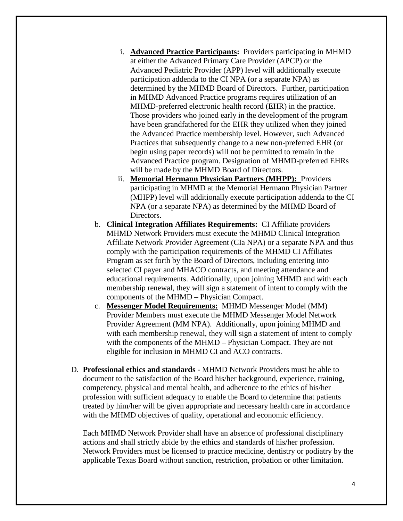- i. **Advanced Practice Participants:** Providers participating in MHMD at either the Advanced Primary Care Provider (APCP) or the Advanced Pediatric Provider (APP) level will additionally execute participation addenda to the CI NPA (or a separate NPA) as determined by the MHMD Board of Directors. Further, participation in MHMD Advanced Practice programs requires utilization of an MHMD-preferred electronic health record (EHR) in the practice. Those providers who joined early in the development of the program have been grandfathered for the EHR they utilized when they joined the Advanced Practice membership level. However, such Advanced Practices that subsequently change to a new non-preferred EHR (or begin using paper records) will not be permitted to remain in the Advanced Practice program. Designation of MHMD-preferred EHRs will be made by the MHMD Board of Directors.
- ii. **Memorial Hermann Physician Partners (MHPP):** Providers participating in MHMD at the Memorial Hermann Physician Partner (MHPP) level will additionally execute participation addenda to the CI NPA (or a separate NPA) as determined by the MHMD Board of Directors.
- b. **Clinical Integration Affiliates Requirements:** CI Affiliate providers MHMD Network Providers must execute the MHMD Clinical Integration Affiliate Network Provider Agreement (CIa NPA) or a separate NPA and thus comply with the participation requirements of the MHMD CI Affiliates Program as set forth by the Board of Directors, including entering into selected CI payer and MHACO contracts, and meeting attendance and educational requirements. Additionally, upon joining MHMD and with each membership renewal, they will sign a statement of intent to comply with the components of the MHMD – Physician Compact.
- c. **Messenger Model Requirements:** MHMD Messenger Model (MM) Provider Members must execute the MHMD Messenger Model Network Provider Agreement (MM NPA). Additionally, upon joining MHMD and with each membership renewal, they will sign a statement of intent to comply with the components of the MHMD – Physician Compact. They are not eligible for inclusion in MHMD CI and ACO contracts.
- D. **Professional ethics and standards**  MHMD Network Providers must be able to document to the satisfaction of the Board his/her background, experience, training, competency, physical and mental health, and adherence to the ethics of his/her profession with sufficient adequacy to enable the Board to determine that patients treated by him/her will be given appropriate and necessary health care in accordance with the MHMD objectives of quality, operational and economic efficiency.

Each MHMD Network Provider shall have an absence of professional disciplinary actions and shall strictly abide by the ethics and standards of his/her profession. Network Providers must be licensed to practice medicine, dentistry or podiatry by the applicable Texas Board without sanction, restriction, probation or other limitation.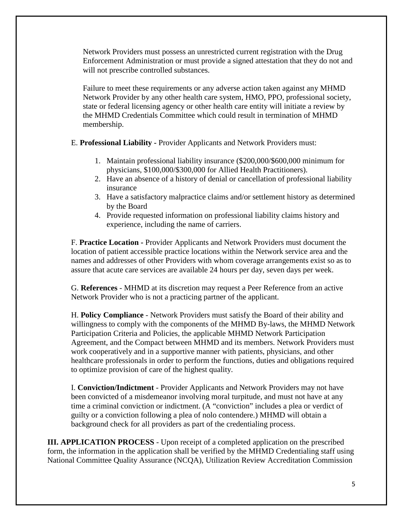Network Providers must possess an unrestricted current registration with the Drug Enforcement Administration or must provide a signed attestation that they do not and will not prescribe controlled substances.

Failure to meet these requirements or any adverse action taken against any MHMD Network Provider by any other health care system, HMO, PPO, professional society, state or federal licensing agency or other health care entity will initiate a review by the MHMD Credentials Committee which could result in termination of MHMD membership.

- E. **Professional Liability -** Provider Applicants and Network Providers must:
	- 1. Maintain professional liability insurance (\$200,000/\$600,000 minimum for physicians, \$100,000/\$300,000 for Allied Health Practitioners).
	- 2. Have an absence of a history of denial or cancellation of professional liability insurance
	- 3. Have a satisfactory malpractice claims and/or settlement history as determined by the Board
	- 4. Provide requested information on professional liability claims history and experience, including the name of carriers.

F. **Practice Location -** Provider Applicants and Network Providers must document the location of patient accessible practice locations within the Network service area and the names and addresses of other Providers with whom coverage arrangements exist so as to assure that acute care services are available 24 hours per day, seven days per week.

G. **References** - MHMD at its discretion may request a Peer Reference from an active Network Provider who is not a practicing partner of the applicant.

H. **Policy Compliance** - Network Providers must satisfy the Board of their ability and willingness to comply with the components of the MHMD By-laws, the MHMD Network Participation Criteria and Policies, the applicable MHMD Network Participation Agreement, and the Compact between MHMD and its members. Network Providers must work cooperatively and in a supportive manner with patients, physicians, and other healthcare professionals in order to perform the functions, duties and obligations required to optimize provision of care of the highest quality.

I. **Conviction/Indictment** - Provider Applicants and Network Providers may not have been convicted of a misdemeanor involving moral turpitude, and must not have at any time a criminal conviction or indictment. (A "conviction" includes a plea or verdict of guilty or a conviction following a plea of nolo contendere.) MHMD will obtain a background check for all providers as part of the credentialing process.

**III. APPLICATION PROCESS** - Upon receipt of a completed application on the prescribed form, the information in the application shall be verified by the MHMD Credentialing staff using National Committee Quality Assurance (NCQA), Utilization Review Accreditation Commission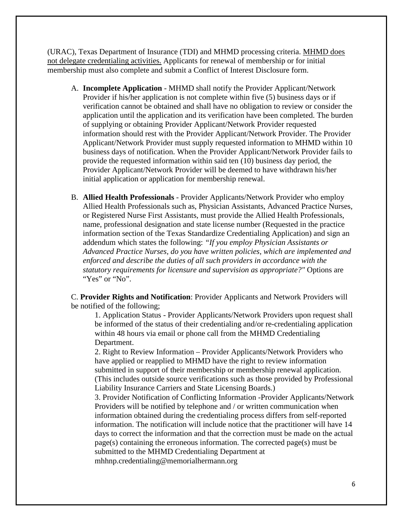(URAC), Texas Department of Insurance (TDI) and MHMD processing criteria. MHMD does not delegate credentialing activities. Applicants for renewal of membership or for initial membership must also complete and submit a Conflict of Interest Disclosure form.

- A. **Incomplete Application** MHMD shall notify the Provider Applicant/Network Provider if his/her application is not complete within five (5) business days or if verification cannot be obtained and shall have no obligation to review or consider the application until the application and its verification have been completed. The burden of supplying or obtaining Provider Applicant/Network Provider requested information should rest with the Provider Applicant/Network Provider. The Provider Applicant/Network Provider must supply requested information to MHMD within 10 business days of notification. When the Provider Applicant/Network Provider fails to provide the requested information within said ten (10) business day period, the Provider Applicant/Network Provider will be deemed to have withdrawn his/her initial application or application for membership renewal.
- B. **Allied Health Professionals** Provider Applicants/Network Provider who employ Allied Health Professionals such as, Physician Assistants, Advanced Practice Nurses, or Registered Nurse First Assistants, must provide the Allied Health Professionals, name, professional designation and state license number (Requested in the practice information section of the Texas Standardize Credentialing Application) and sign an addendum which states the following: *"If you employ Physician Assistants or Advanced Practice Nurses, do you have written policies, which are implemented and enforced and describe the duties of all such providers in accordance with the statutory requirements for licensure and supervision as appropriate?"* Options are "Yes" or "No".

C. **Provider Rights and Notification**: Provider Applicants and Network Providers will be notified of the following;

1. Application Status - Provider Applicants/Network Providers upon request shall be informed of the status of their credentialing and/or re-credentialing application within 48 hours via email or phone call from the MHMD Credentialing Department.

2. Right to Review Information – Provider Applicants/Network Providers who have applied or reapplied to MHMD have the right to review information submitted in support of their membership or membership renewal application. (This includes outside source verifications such as those provided by Professional Liability Insurance Carriers and State Licensing Boards.)

3. Provider Notification of Conflicting Information -Provider Applicants/Network Providers will be notified by telephone and / or written communication when information obtained during the credentialing process differs from self-reported information. The notification will include notice that the practitioner will have 14 days to correct the information and that the correction must be made on the actual page(s) containing the erroneous information. The corrected page(s) must be submitted to the MHMD Credentialing Department at mhhnp.credentialing@memorialhermann.org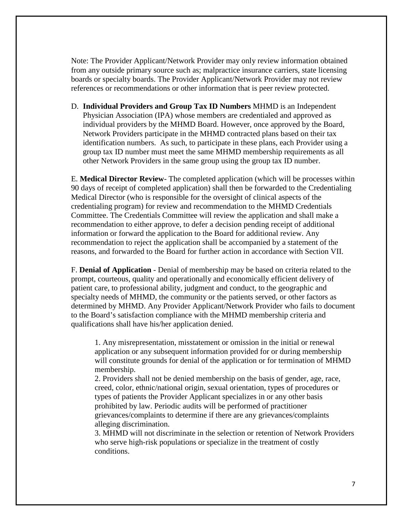Note: The Provider Applicant/Network Provider may only review information obtained from any outside primary source such as; malpractice insurance carriers, state licensing boards or specialty boards. The Provider Applicant/Network Provider may not review references or recommendations or other information that is peer review protected.

D. **Individual Providers and Group Tax ID Numbers** MHMD is an Independent Physician Association (IPA) whose members are credentialed and approved as individual providers by the MHMD Board. However, once approved by the Board, Network Providers participate in the MHMD contracted plans based on their tax identification numbers. As such, to participate in these plans, each Provider using a group tax ID number must meet the same MHMD membership requirements as all other Network Providers in the same group using the group tax ID number.

E. **Medical Director Review**- The completed application (which will be processes within 90 days of receipt of completed application) shall then be forwarded to the Credentialing Medical Director (who is responsible for the oversight of clinical aspects of the credentialing program) for review and recommendation to the MHMD Credentials Committee. The Credentials Committee will review the application and shall make a recommendation to either approve, to defer a decision pending receipt of additional information or forward the application to the Board for additional review. Any recommendation to reject the application shall be accompanied by a statement of the reasons, and forwarded to the Board for further action in accordance with Section VII.

F. **Denial of Application** - Denial of membership may be based on criteria related to the prompt, courteous, quality and operationally and economically efficient delivery of patient care, to professional ability, judgment and conduct, to the geographic and specialty needs of MHMD, the community or the patients served, or other factors as determined by MHMD. Any Provider Applicant/Network Provider who fails to document to the Board's satisfaction compliance with the MHMD membership criteria and qualifications shall have his/her application denied.

1. Any misrepresentation, misstatement or omission in the initial or renewal application or any subsequent information provided for or during membership will constitute grounds for denial of the application or for termination of MHMD membership.

2. Providers shall not be denied membership on the basis of gender, age, race, creed, color, ethnic/national origin, sexual orientation, types of procedures or types of patients the Provider Applicant specializes in or any other basis prohibited by law. Periodic audits will be performed of practitioner grievances/complaints to determine if there are any grievances/complaints alleging discrimination.

3. MHMD will not discriminate in the selection or retention of Network Providers who serve high-risk populations or specialize in the treatment of costly conditions.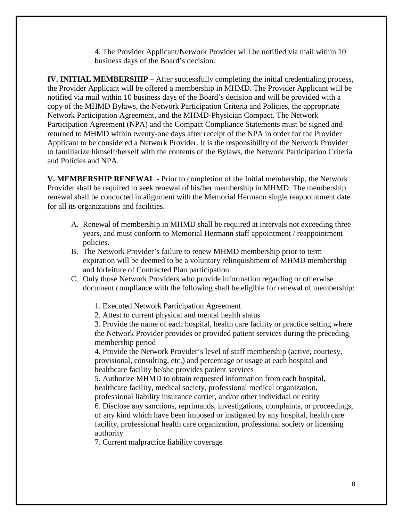4. The Provider Applicant/Network Provider will be notified via mail within 10 business days of the Board's decision.

**IV. INITIAL MEMBERSHIP –** After successfully completing the initial credentialing process, the Provider Applicant will be offered a membership in MHMD. The Provider Applicant will be notified via mail within 10 business days of the Board's decision and will be provided with a copy of the MHMD Bylaws, the Network Participation Criteria and Policies, the appropriate Network Participation Agreement, and the MHMD-Physician Compact. The Network Participation Agreement (NPA) and the Compact Compliance Statements must be signed and returned to MHMD within twenty-one days after receipt of the NPA in order for the Provider Applicant to be considered a Network Provider. It is the responsibility of the Network Provider to familiarize himself/herself with the contents of the Bylaws, the Network Participation Criteria and Policies and NPA.

**V. MEMBERSHIP RENEWAL** - Prior to completion of the Initial membership, the Network Provider shall be required to seek renewal of his/her membership in MHMD. The membership renewal shall be conducted in alignment with the Memorial Hermann single reappointment date for all its organizations and facilities.

- A. Renewal of membership in MHMD shall be required at intervals not exceeding three years, and must conform to Memorial Hermann staff appointment / reappointment policies.
- B. The Network Provider's failure to renew MHMD membership prior to term expiration will be deemed to be a voluntary relinquishment of MHMD membership and forfeiture of Contracted Plan participation.
- C. Only those Network Providers who provide information regarding or otherwise document compliance with the following shall be eligible for renewal of membership:
	- 1. Executed Network Participation Agreement
	- 2. Attest to current physical and mental health status

3. Provide the name of each hospital, health care facility or practice setting where the Network Provider provides or provided patient services during the preceding membership period

4. Provide the Network Provider's level of staff membership (active, courtesy, provisional, consulting, etc.) and percentage or usage at each hospital and healthcare facility he/she provides patient services

5. Authorize MHMD to obtain requested information from each hospital, healthcare facility, medical society, professional medical organization, professional liability insurance carrier, and/or other individual or entity

6. Disclose any sanctions, reprimands, investigations, complaints, or proceedings, of any kind which have been imposed or instigated by any hospital, health care facility, professional health care organization, professional society or licensing authority

7. Current malpractice liability coverage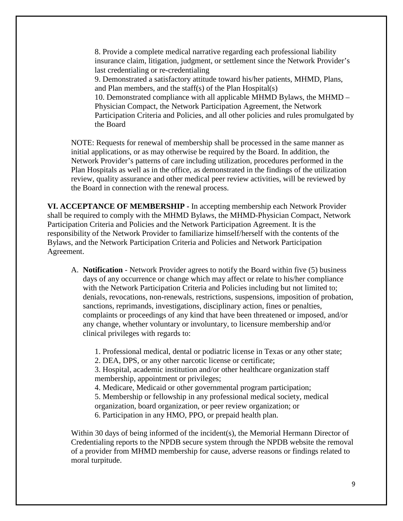8. Provide a complete medical narrative regarding each professional liability insurance claim, litigation, judgment, or settlement since the Network Provider's last credentialing or re-credentialing

9. Demonstrated a satisfactory attitude toward his/her patients, MHMD, Plans, and Plan members, and the staff(s) of the Plan Hospital(s)

10. Demonstrated compliance with all applicable MHMD Bylaws, the MHMD – Physician Compact, the Network Participation Agreement, the Network Participation Criteria and Policies, and all other policies and rules promulgated by the Board

NOTE: Requests for renewal of membership shall be processed in the same manner as initial applications, or as may otherwise be required by the Board. In addition, the Network Provider's patterns of care including utilization, procedures performed in the Plan Hospitals as well as in the office, as demonstrated in the findings of the utilization review, quality assurance and other medical peer review activities, will be reviewed by the Board in connection with the renewal process.

**VI. ACCEPTANCE OF MEMBERSHIP -** In accepting membership each Network Provider shall be required to comply with the MHMD Bylaws, the MHMD-Physician Compact, Network Participation Criteria and Policies and the Network Participation Agreement. It is the responsibility of the Network Provider to familiarize himself/herself with the contents of the Bylaws, and the Network Participation Criteria and Policies and Network Participation Agreement.

A. **Notification** - Network Provider agrees to notify the Board within five (5) business days of any occurrence or change which may affect or relate to his/her compliance with the Network Participation Criteria and Policies including but not limited to; denials, revocations, non-renewals, restrictions, suspensions, imposition of probation, sanctions, reprimands, investigations, disciplinary action, fines or penalties, complaints or proceedings of any kind that have been threatened or imposed, and/or any change, whether voluntary or involuntary, to licensure membership and/or clinical privileges with regards to:

1. Professional medical, dental or podiatric license in Texas or any other state;

2. DEA, DPS, or any other narcotic license or certificate;

3. Hospital, academic institution and/or other healthcare organization staff membership, appointment or privileges;

4. Medicare, Medicaid or other governmental program participation;

5. Membership or fellowship in any professional medical society, medical organization, board organization, or peer review organization; or

6. Participation in any HMO, PPO, or prepaid health plan.

Within 30 days of being informed of the incident(s), the Memorial Hermann Director of Credentialing reports to the NPDB secure system through the NPDB website the removal of a provider from MHMD membership for cause, adverse reasons or findings related to moral turpitude.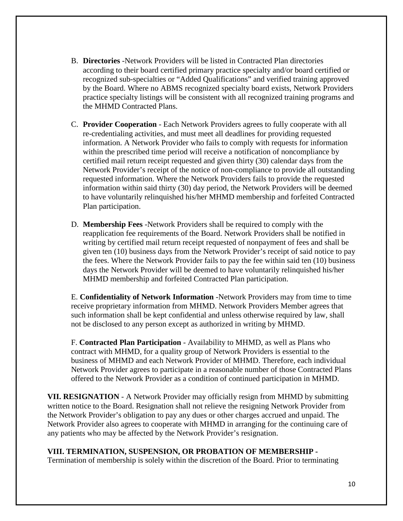- B. **Directories** -Network Providers will be listed in Contracted Plan directories according to their board certified primary practice specialty and/or board certified or recognized sub-specialties or "Added Qualifications" and verified training approved by the Board. Where no ABMS recognized specialty board exists, Network Providers practice specialty listings will be consistent with all recognized training programs and the MHMD Contracted Plans.
- C. **Provider Cooperation** Each Network Providers agrees to fully cooperate with all re-credentialing activities, and must meet all deadlines for providing requested information. A Network Provider who fails to comply with requests for information within the prescribed time period will receive a notification of noncompliance by certified mail return receipt requested and given thirty (30) calendar days from the Network Provider's receipt of the notice of non-compliance to provide all outstanding requested information. Where the Network Providers fails to provide the requested information within said thirty (30) day period, the Network Providers will be deemed to have voluntarily relinquished his/her MHMD membership and forfeited Contracted Plan participation.
- D. **Membership Fees** -Network Providers shall be required to comply with the reapplication fee requirements of the Board. Network Providers shall be notified in writing by certified mail return receipt requested of nonpayment of fees and shall be given ten (10) business days from the Network Provider's receipt of said notice to pay the fees. Where the Network Provider fails to pay the fee within said ten (10) business days the Network Provider will be deemed to have voluntarily relinquished his/her MHMD membership and forfeited Contracted Plan participation.

E. **Confidentiality of Network Information** -Network Providers may from time to time receive proprietary information from MHMD. Network Providers Member agrees that such information shall be kept confidential and unless otherwise required by law, shall not be disclosed to any person except as authorized in writing by MHMD.

F. **Contracted Plan Participation** - Availability to MHMD, as well as Plans who contract with MHMD, for a quality group of Network Providers is essential to the business of MHMD and each Network Provider of MHMD. Therefore, each individual Network Provider agrees to participate in a reasonable number of those Contracted Plans offered to the Network Provider as a condition of continued participation in MHMD.

**VII. RESIGNATION** - A Network Provider may officially resign from MHMD by submitting written notice to the Board. Resignation shall not relieve the resigning Network Provider from the Network Provider's obligation to pay any dues or other charges accrued and unpaid. The Network Provider also agrees to cooperate with MHMD in arranging for the continuing care of any patients who may be affected by the Network Provider's resignation.

## **VIII. TERMINATION, SUSPENSION, OR PROBATION OF MEMBERSHIP -**

Termination of membership is solely within the discretion of the Board. Prior to terminating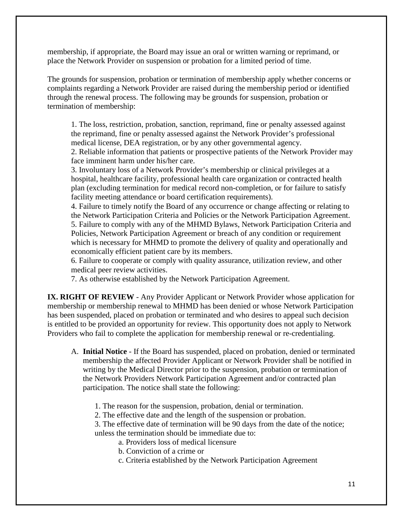membership, if appropriate, the Board may issue an oral or written warning or reprimand, or place the Network Provider on suspension or probation for a limited period of time.

The grounds for suspension, probation or termination of membership apply whether concerns or complaints regarding a Network Provider are raised during the membership period or identified through the renewal process. The following may be grounds for suspension, probation or termination of membership:

1. The loss, restriction, probation, sanction, reprimand, fine or penalty assessed against the reprimand, fine or penalty assessed against the Network Provider's professional medical license, DEA registration, or by any other governmental agency.

2. Reliable information that patients or prospective patients of the Network Provider may face imminent harm under his/her care.

3. Involuntary loss of a Network Provider's membership or clinical privileges at a hospital, healthcare facility, professional health care organization or contracted health plan (excluding termination for medical record non-completion, or for failure to satisfy facility meeting attendance or board certification requirements).

4. Failure to timely notify the Board of any occurrence or change affecting or relating to the Network Participation Criteria and Policies or the Network Participation Agreement. 5. Failure to comply with any of the MHMD Bylaws, Network Participation Criteria and Policies, Network Participation Agreement or breach of any condition or requirement which is necessary for MHMD to promote the delivery of quality and operationally and economically efficient patient care by its members.

6. Failure to cooperate or comply with quality assurance, utilization review, and other medical peer review activities.

7. As otherwise established by the Network Participation Agreement.

**IX. RIGHT OF REVIEW** - Any Provider Applicant or Network Provider whose application for membership or membership renewal to MHMD has been denied or whose Network Participation has been suspended, placed on probation or terminated and who desires to appeal such decision is entitled to be provided an opportunity for review. This opportunity does not apply to Network Providers who fail to complete the application for membership renewal or re-credentialing.

- A. **Initial Notice** If the Board has suspended, placed on probation, denied or terminated membership the affected Provider Applicant or Network Provider shall be notified in writing by the Medical Director prior to the suspension, probation or termination of the Network Providers Network Participation Agreement and/or contracted plan participation. The notice shall state the following:
	- 1. The reason for the suspension, probation, denial or termination.
	- 2. The effective date and the length of the suspension or probation.
	- 3. The effective date of termination will be 90 days from the date of the notice; unless the termination should be immediate due to:
		- a. Providers loss of medical licensure
			- b. Conviction of a crime or
			- c. Criteria established by the Network Participation Agreement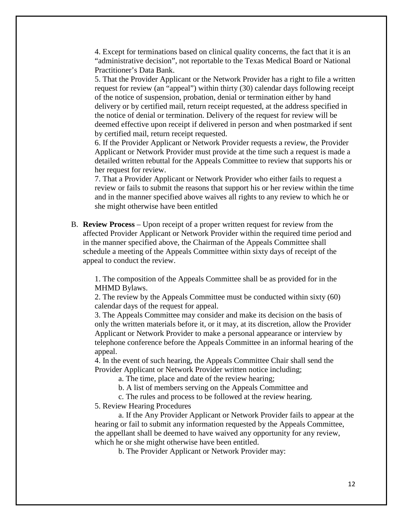4. Except for terminations based on clinical quality concerns, the fact that it is an "administrative decision", not reportable to the Texas Medical Board or National Practitioner's Data Bank.

5. That the Provider Applicant or the Network Provider has a right to file a written request for review (an "appeal") within thirty (30) calendar days following receipt of the notice of suspension, probation, denial or termination either by hand delivery or by certified mail, return receipt requested, at the address specified in the notice of denial or termination. Delivery of the request for review will be deemed effective upon receipt if delivered in person and when postmarked if sent by certified mail, return receipt requested.

6. If the Provider Applicant or Network Provider requests a review, the Provider Applicant or Network Provider must provide at the time such a request is made a detailed written rebuttal for the Appeals Committee to review that supports his or her request for review.

7. That a Provider Applicant or Network Provider who either fails to request a review or fails to submit the reasons that support his or her review within the time and in the manner specified above waives all rights to any review to which he or she might otherwise have been entitled

B. **Review Process** – Upon receipt of a proper written request for review from the affected Provider Applicant or Network Provider within the required time period and in the manner specified above, the Chairman of the Appeals Committee shall schedule a meeting of the Appeals Committee within sixty days of receipt of the appeal to conduct the review.

1. The composition of the Appeals Committee shall be as provided for in the MHMD Bylaws.

2. The review by the Appeals Committee must be conducted within sixty (60) calendar days of the request for appeal.

3. The Appeals Committee may consider and make its decision on the basis of only the written materials before it, or it may, at its discretion, allow the Provider Applicant or Network Provider to make a personal appearance or interview by telephone conference before the Appeals Committee in an informal hearing of the appeal.

4. In the event of such hearing, the Appeals Committee Chair shall send the Provider Applicant or Network Provider written notice including;

a. The time, place and date of the review hearing;

b. A list of members serving on the Appeals Committee and

c. The rules and process to be followed at the review hearing.

5. Review Hearing Procedures

a. If the Any Provider Applicant or Network Provider fails to appear at the hearing or fail to submit any information requested by the Appeals Committee, the appellant shall be deemed to have waived any opportunity for any review, which he or she might otherwise have been entitled.

b. The Provider Applicant or Network Provider may: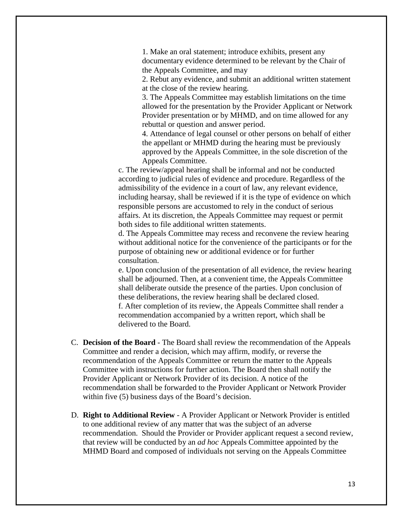1. Make an oral statement; introduce exhibits, present any documentary evidence determined to be relevant by the Chair of the Appeals Committee, and may

2. Rebut any evidence, and submit an additional written statement at the close of the review hearing.

3. The Appeals Committee may establish limitations on the time allowed for the presentation by the Provider Applicant or Network Provider presentation or by MHMD, and on time allowed for any rebuttal or question and answer period.

4. Attendance of legal counsel or other persons on behalf of either the appellant or MHMD during the hearing must be previously approved by the Appeals Committee, in the sole discretion of the Appeals Committee.

c. The review/appeal hearing shall be informal and not be conducted according to judicial rules of evidence and procedure. Regardless of the admissibility of the evidence in a court of law, any relevant evidence, including hearsay, shall be reviewed if it is the type of evidence on which responsible persons are accustomed to rely in the conduct of serious affairs. At its discretion, the Appeals Committee may request or permit both sides to file additional written statements.

d. The Appeals Committee may recess and reconvene the review hearing without additional notice for the convenience of the participants or for the purpose of obtaining new or additional evidence or for further consultation.

e. Upon conclusion of the presentation of all evidence, the review hearing shall be adjourned. Then, at a convenient time, the Appeals Committee shall deliberate outside the presence of the parties. Upon conclusion of these deliberations, the review hearing shall be declared closed. f. After completion of its review, the Appeals Committee shall render a recommendation accompanied by a written report, which shall be delivered to the Board.

- C. **Decision of the Board** The Board shall review the recommendation of the Appeals Committee and render a decision, which may affirm, modify, or reverse the recommendation of the Appeals Committee or return the matter to the Appeals Committee with instructions for further action. The Board then shall notify the Provider Applicant or Network Provider of its decision. A notice of the recommendation shall be forwarded to the Provider Applicant or Network Provider within five (5) business days of the Board's decision.
- D. **Right to Additional Review** A Provider Applicant or Network Provider is entitled to one additional review of any matter that was the subject of an adverse recommendation. Should the Provider or Provider applicant request a second review, that review will be conducted by an *ad hoc* Appeals Committee appointed by the MHMD Board and composed of individuals not serving on the Appeals Committee